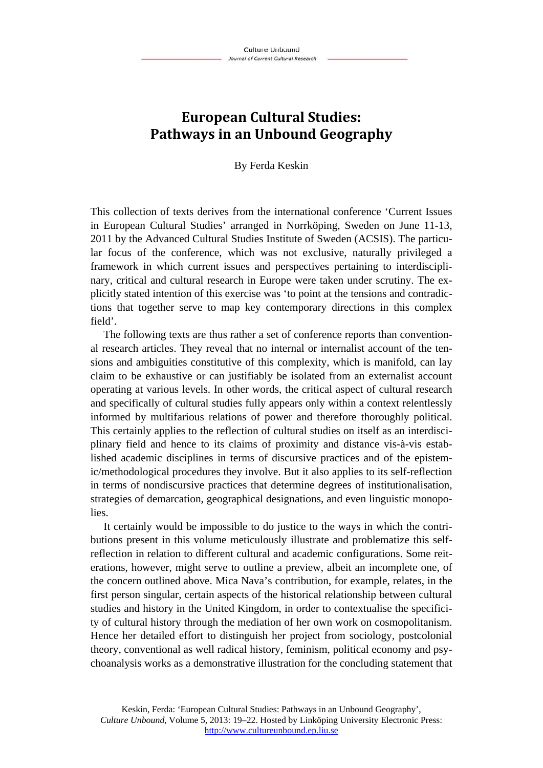## **European Cultural Studies: Pathways in an Unbound Geography**

By Ferda Keskin

This collection of texts derives from the international conference 'Current Issues in European Cultural Studies' arranged in Norrköping, Sweden on June 11-13, 2011 by the Advanced Cultural Studies Institute of Sweden (ACSIS). The particular focus of the conference, which was not exclusive, naturally privileged a framework in which current issues and perspectives pertaining to interdisciplinary, critical and cultural research in Europe were taken under scrutiny. The explicitly stated intention of this exercise was 'to point at the tensions and contradictions that together serve to map key contemporary directions in this complex field'.

The following texts are thus rather a set of conference reports than conventional research articles. They reveal that no internal or internalist account of the tensions and ambiguities constitutive of this complexity, which is manifold, can lay claim to be exhaustive or can justifiably be isolated from an externalist account operating at various levels. In other words, the critical aspect of cultural research and specifically of cultural studies fully appears only within a context relentlessly informed by multifarious relations of power and therefore thoroughly political. This certainly applies to the reflection of cultural studies on itself as an interdisciplinary field and hence to its claims of proximity and distance vis-à-vis established academic disciplines in terms of discursive practices and of the epistemic/methodological procedures they involve. But it also applies to its self-reflection in terms of nondiscursive practices that determine degrees of institutionalisation, strategies of demarcation, geographical designations, and even linguistic monopolies.

It certainly would be impossible to do justice to the ways in which the contributions present in this volume meticulously illustrate and problematize this selfreflection in relation to different cultural and academic configurations. Some reiterations, however, might serve to outline a preview, albeit an incomplete one, of the concern outlined above. Mica Nava's contribution, for example, relates, in the first person singular, certain aspects of the historical relationship between cultural studies and history in the United Kingdom, in order to contextualise the specificity of cultural history through the mediation of her own work on cosmopolitanism. Hence her detailed effort to distinguish her project from sociology, postcolonial theory, conventional as well radical history, feminism, political economy and psychoanalysis works as a demonstrative illustration for the concluding statement that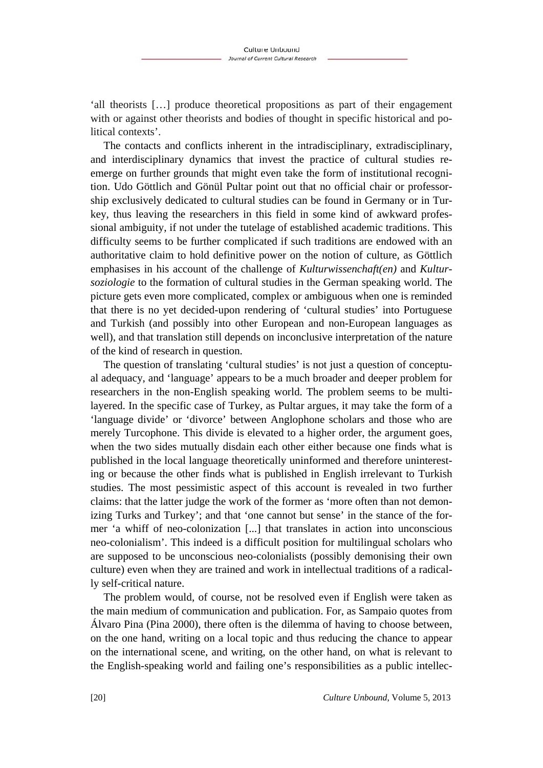'all theorists […] produce theoretical propositions as part of their engagement with or against other theorists and bodies of thought in specific historical and political contexts'.

The contacts and conflicts inherent in the intradisciplinary, extradisciplinary, and interdisciplinary dynamics that invest the practice of cultural studies reemerge on further grounds that might even take the form of institutional recognition. Udo Göttlich and Gönül Pultar point out that no official chair or professorship exclusively dedicated to cultural studies can be found in Germany or in Turkey, thus leaving the researchers in this field in some kind of awkward professional ambiguity, if not under the tutelage of established academic traditions. This difficulty seems to be further complicated if such traditions are endowed with an authoritative claim to hold definitive power on the notion of culture, as Göttlich emphasises in his account of the challenge of *Kulturwissenchaft(en)* and *Kultursoziologie* to the formation of cultural studies in the German speaking world. The picture gets even more complicated, complex or ambiguous when one is reminded that there is no yet decided-upon rendering of 'cultural studies' into Portuguese and Turkish (and possibly into other European and non-European languages as well), and that translation still depends on inconclusive interpretation of the nature of the kind of research in question.

The question of translating 'cultural studies' is not just a question of conceptual adequacy, and 'language' appears to be a much broader and deeper problem for researchers in the non-English speaking world. The problem seems to be multilayered. In the specific case of Turkey, as Pultar argues, it may take the form of a 'language divide' or 'divorce' between Anglophone scholars and those who are merely Turcophone. This divide is elevated to a higher order, the argument goes, when the two sides mutually disdain each other either because one finds what is published in the local language theoretically uninformed and therefore uninteresting or because the other finds what is published in English irrelevant to Turkish studies. The most pessimistic aspect of this account is revealed in two further claims: that the latter judge the work of the former as 'more often than not demonizing Turks and Turkey'; and that 'one cannot but sense' in the stance of the former 'a whiff of neo-colonization [...] that translates in action into unconscious neo-colonialism'. This indeed is a difficult position for multilingual scholars who are supposed to be unconscious neo-colonialists (possibly demonising their own culture) even when they are trained and work in intellectual traditions of a radically self-critical nature.

The problem would, of course, not be resolved even if English were taken as the main medium of communication and publication. For, as Sampaio quotes from Álvaro Pina (Pina 2000), there often is the dilemma of having to choose between, on the one hand, writing on a local topic and thus reducing the chance to appear on the international scene, and writing, on the other hand, on what is relevant to the English-speaking world and failing one's responsibilities as a public intellec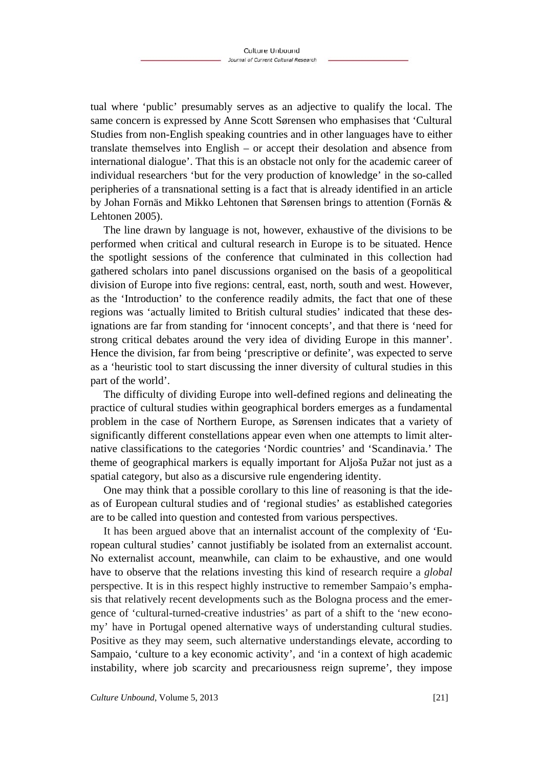tual where 'public' presumably serves as an adjective to qualify the local. The same concern is expressed by Anne Scott Sørensen who emphasises that 'Cultural Studies from non-English speaking countries and in other languages have to either translate themselves into English – or accept their desolation and absence from international dialogue'. That this is an obstacle not only for the academic career of individual researchers 'but for the very production of knowledge' in the so-called peripheries of a transnational setting is a fact that is already identified in an article by Johan Fornäs and Mikko Lehtonen that Sørensen brings to attention (Fornäs & Lehtonen 2005).

The line drawn by language is not, however, exhaustive of the divisions to be performed when critical and cultural research in Europe is to be situated. Hence the spotlight sessions of the conference that culminated in this collection had gathered scholars into panel discussions organised on the basis of a geopolitical division of Europe into five regions: central, east, north, south and west. However, as the 'Introduction' to the conference readily admits, the fact that one of these regions was 'actually limited to British cultural studies' indicated that these designations are far from standing for 'innocent concepts', and that there is 'need for strong critical debates around the very idea of dividing Europe in this manner'. Hence the division, far from being 'prescriptive or definite', was expected to serve as a 'heuristic tool to start discussing the inner diversity of cultural studies in this part of the world'.

The difficulty of dividing Europe into well-defined regions and delineating the practice of cultural studies within geographical borders emerges as a fundamental problem in the case of Northern Europe, as Sørensen indicates that a variety of significantly different constellations appear even when one attempts to limit alternative classifications to the categories 'Nordic countries' and 'Scandinavia.' The theme of geographical markers is equally important for Aljoša Pužar not just as a spatial category, but also as a discursive rule engendering identity.

One may think that a possible corollary to this line of reasoning is that the ideas of European cultural studies and of 'regional studies' as established categories are to be called into question and contested from various perspectives.

It has been argued above that an internalist account of the complexity of 'European cultural studies' cannot justifiably be isolated from an externalist account. No externalist account, meanwhile, can claim to be exhaustive, and one would have to observe that the relations investing this kind of research require a *global* perspective. It is in this respect highly instructive to remember Sampaio's emphasis that relatively recent developments such as the Bologna process and the emergence of 'cultural-turned-creative industries' as part of a shift to the 'new economy' have in Portugal opened alternative ways of understanding cultural studies. Positive as they may seem, such alternative understandings elevate, according to Sampaio, 'culture to a key economic activity', and 'in a context of high academic instability, where job scarcity and precariousness reign supreme', they impose